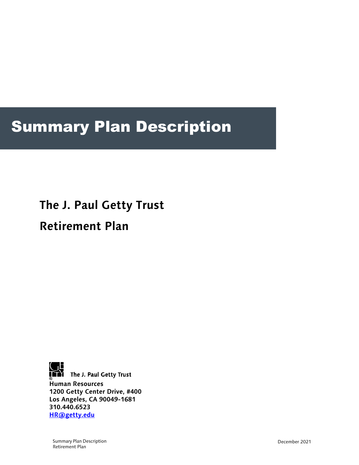## Summary Plan Description

# **The J. Paul Getty Trust**

## **Retirement Plan**



**THE The J. Paul Getty Trust Human Resources 1200 Getty Center Drive, #400 Los Angeles, CA 90049-1681 310.440.6523 HR@getty.edu**

Summary Plan Description Retirement Plan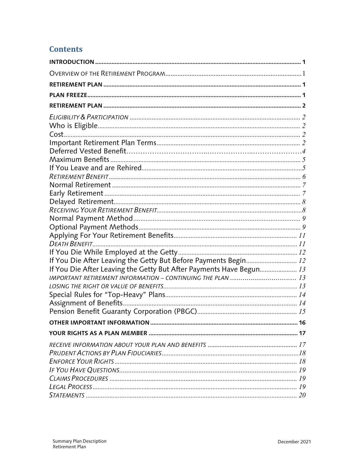## **Contents**

| DEATH BENEFIT                                                       |  |
|---------------------------------------------------------------------|--|
|                                                                     |  |
| If You Die After Leaving the Getty But Before Payments Begin 12     |  |
| If You Die After Leaving the Getty But After Payments Have Begun 13 |  |
| IMPORTANT RETIREMENT INFORMATION - CONTINUING THE PLAN  13          |  |
|                                                                     |  |
|                                                                     |  |
|                                                                     |  |
|                                                                     |  |
|                                                                     |  |
|                                                                     |  |
|                                                                     |  |
|                                                                     |  |
|                                                                     |  |
|                                                                     |  |
|                                                                     |  |
|                                                                     |  |
|                                                                     |  |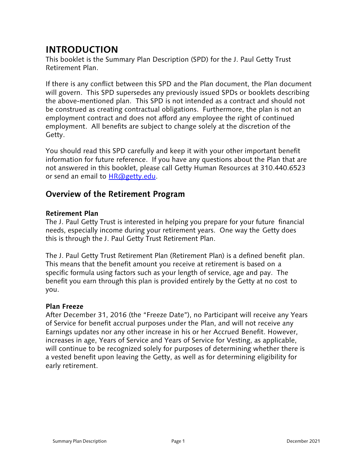## **INTRODUCTION**

This booklet is the Summary Plan Description (SPD) for the J. Paul Getty Trust Retirement Plan.

If there is any conflict between this SPD and the Plan document, the Plan document will govern. This SPD supersedes any previously issued SPDs or booklets describing the above-mentioned plan. This SPD is not intended as a contract and should not be construed as creating contractual obligations. Furthermore, the plan is not an employment contract and does not afford any employee the right of continued employment. All benefits are subject to change solely at the discretion of the Getty.

You should read this SPD carefully and keep it with your other important benefit information for future reference. If you have any questions about the Plan that are not answered in this booklet, please call Getty Human Resources at 310.440.6523 or send an email to HR@getty.edu.

## **Overview of the Retirement Program**

#### **Retirement Plan**

The J. Paul Getty Trust is interested in helping you prepare for your future financial needs, especially income during your retirement years. One way the Getty does this is through the J. Paul Getty Trust Retirement Plan.

The J. Paul Getty Trust Retirement Plan (Retirement Plan) is a defined benefit plan. This means that the benefit amount you receive at retirement is based on a specific formula using factors such as your length of service, age and pay. The benefit you earn through this plan is provided entirely by the Getty at no cost to you.

#### **Plan Freeze**

After December 31, 2016 (the "Freeze Date"), no Participant will receive any Years of Service for benefit accrual purposes under the Plan, and will not receive any Earnings updates nor any other increase in his or her Accrued Benefit. However, increases in age, Years of Service and Years of Service for Vesting, as applicable, will continue to be recognized solely for purposes of determining whether there is a vested benefit upon leaving the Getty, as well as for determining eligibility for early retirement.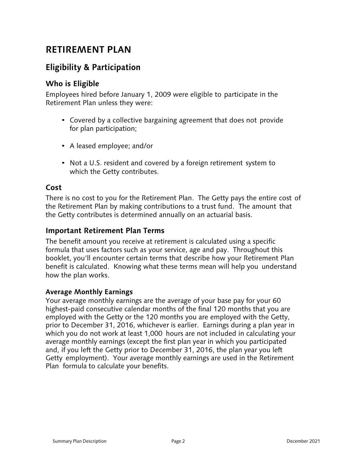## **RETIREMENT PLAN**

## **Eligibility & Participation**

#### **Who is Eligible**

Employees hired before January 1, 2009 were eligible to participate in the Retirement Plan unless they were:

- Covered by a collective bargaining agreement that does not provide for plan participation;
- A leased employee; and/or
- Not a U.S. resident and covered by a foreign retirement system to which the Getty contributes.

#### **Cost**

There is no cost to you for the Retirement Plan. The Getty pays the entire cost of the Retirement Plan by making contributions to a trust fund. The amount that the Getty contributes is determined annually on an actuarial basis.

#### **Important Retirement Plan Terms**

The benefit amount you receive at retirement is calculated using a specific formula that uses factors such as your service, age and pay. Throughout this booklet, you'll encounter certain terms that describe how your Retirement Plan benefit is calculated. Knowing what these terms mean will help you understand how the plan works.

#### **Average Monthly Earnings**

Your average monthly earnings are the average of your base pay for your 60 highest-paid consecutive calendar months of the final 120 months that you are employed with the Getty or the 120 months you are employed with the Getty, prior to December 31, 2016, whichever is earlier. Earnings during a plan year in which you do not work at least 1,000 hours are not included in calculating your average monthly earnings (except the first plan year in which you participated and, if you left the Getty prior to December 31, 2016, the plan year you left Getty employment). Your average monthly earnings are used in the Retirement Plan formula to calculate your benefits.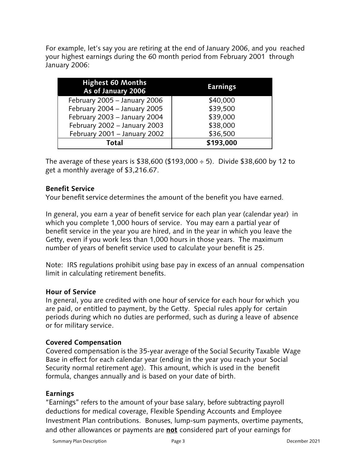For example, let's say you are retiring at the end of January 2006, and you reached your highest earnings during the 60 month period from February 2001 through January 2006:

| <b>Highest 60 Months</b><br>As of January 2006 | <b>Earnings</b> |
|------------------------------------------------|-----------------|
| February 2005 - January 2006                   | \$40,000        |
| February 2004 - January 2005                   | \$39,500        |
| February 2003 - January 2004                   | \$39,000        |
| February 2002 - January 2003                   | \$38,000        |
| February 2001 - January 2002                   | \$36,500        |
| Total                                          | \$193,000       |

The average of these years is \$38,600 (\$193,000  $\div$  5). Divide \$38,600 by 12 to get a monthly average of \$3,216.67.

#### **Benefit Service**

Your benefit service determines the amount of the benefit you have earned.

In general, you earn a year of benefit service for each plan year (calendar year) in which you complete 1,000 hours of service. You may earn a partial year of benefit service in the year you are hired, and in the year in which you leave the Getty, even if you work less than 1,000 hours in those years. The maximum number of years of benefit service used to calculate your benefit is 25.

Note: IRS regulations prohibit using base pay in excess of an annual compensation limit in calculating retirement benefits.

#### **Hour of Service**

In general, you are credited with one hour of service for each hour for which you are paid, or entitled to payment, by the Getty. Special rules apply for certain periods during which no duties are performed, such as during a leave of absence or for military service.

#### **Covered Compensation**

Covered compensation is the 35-year average of the Social Security Taxable Wage Base in effect for each calendar year (ending in the year you reach your Social Security normal retirement age). This amount, which is used in the benefit formula, changes annually and is based on your date of birth.

#### **Earnings**

"Earnings" refers to the amount of your base salary, before subtracting payroll deductions for medical coverage, Flexible Spending Accounts and Employee Investment Plan contributions. Bonuses, lump-sum payments, overtime payments, and other allowances or payments are **not** considered part of your earnings for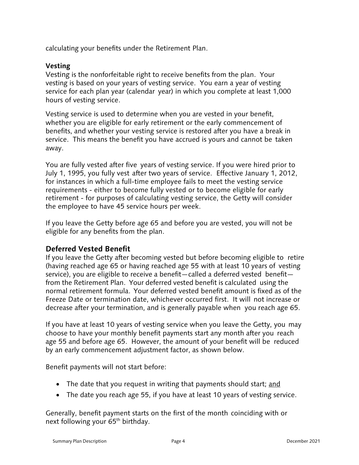calculating your benefits under the Retirement Plan.

#### **Vesting**

Vesting is the nonforfeitable right to receive benefits from the plan. Your vesting is based on your years of vesting service. You earn a year of vesting service for each plan year (calendar year) in which you complete at least 1,000 hours of vesting service.

Vesting service is used to determine when you are vested in your benefit, whether you are eligible for early retirement or the early commencement of benefits, and whether your vesting service is restored after you have a break in service. This means the benefit you have accrued is yours and cannot be taken away.

You are fully vested after five years of vesting service. If you were hired prior to July 1, 1995, you fully vest after two years of service. Effective January 1, 2012, for instances in which a full-time employee fails to meet the vesting service requirements - either to become fully vested or to become eligible for early retirement - for purposes of calculating vesting service, the Getty will consider the employee to have 45 service hours per week.

If you leave the Getty before age 65 and before you are vested, you will not be eligible for any benefits from the plan.

#### **Deferred Vested Benefit**

If you leave the Getty after becoming vested but before becoming eligible to retire (having reached age 65 or having reached age 55 with at least 10 years of vesting service), you are eligible to receive a benefit—called a deferred vested benefit from the Retirement Plan. Your deferred vested benefit is calculated using the normal retirement formula. Your deferred vested benefit amount is fixed as of the Freeze Date or termination date, whichever occurred first. It will not increase or decrease after your termination, and is generally payable when you reach age 65.

If you have at least 10 years of vesting service when you leave the Getty, you may choose to have your monthly benefit payments start any month after you reach age 55 and before age 65. However, the amount of your benefit will be reduced by an early commencement adjustment factor, as shown below.

Benefit payments will not start before:

- The date that you request in writing that payments should start; and
- The date you reach age 55, if you have at least 10 years of vesting service.

Generally, benefit payment starts on the first of the month coinciding with or next following your  $65<sup>th</sup>$  birthday.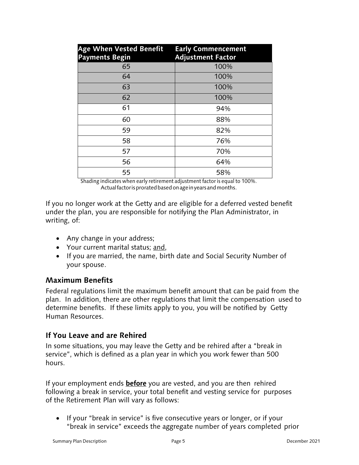| <b>Age When Vested Benefit</b><br><b>Payments Begin</b> | <b>Early Commencement</b><br><b>Adjustment Factor</b> |
|---------------------------------------------------------|-------------------------------------------------------|
| 65                                                      | 100%                                                  |
| 64                                                      | 100%                                                  |
| 63                                                      | 100%                                                  |
| 62                                                      | 100%                                                  |
| 61                                                      | 94%                                                   |
| 60                                                      | 88%                                                   |
| 59                                                      | 82%                                                   |
| 58                                                      | 76%                                                   |
| 57                                                      | 70%                                                   |
| 56                                                      | 64%                                                   |
| 55                                                      | 58%                                                   |

Shading indicates when early retirement adjustment factor is equal to 100%. Actual factor is prorated based on age in years and months.

If you no longer work at the Getty and are eligible for a deferred vested benefit under the plan, you are responsible for notifying the Plan Administrator, in writing, of:

- Any change in your address;
- Your current marital status; and,
- If you are married, the name, birth date and Social Security Number of your spouse.

#### **Maximum Benefits**

Federal regulations limit the maximum benefit amount that can be paid from the plan. In addition, there are other regulations that limit the compensation used to determine benefits. If these limits apply to you, you will be notified by Getty Human Resources.

## **If You Leave and are Rehired**

In some situations, you may leave the Getty and be rehired after a "break in service", which is defined as a plan year in which you work fewer than 500 hours.

If your employment ends **before** you are vested, and you are then rehired following a break in service, your total benefit and vesting service for purposes of the Retirement Plan will vary as follows:

• If your "break in service" is five consecutive years or longer, or if your "break in service" exceeds the aggregate number of years completed prior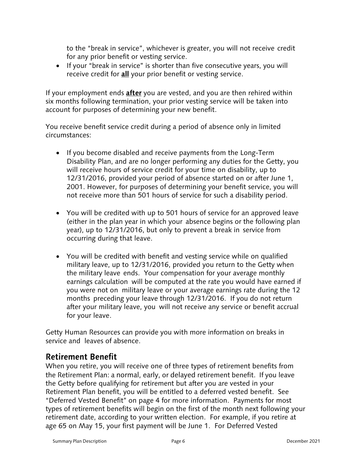to the "break in service", whichever is greater, you will not receive credit for any prior benefit or vesting service.

• If your "break in service" is shorter than five consecutive years, you will receive credit for **all** your prior benefit or vesting service.

If your employment ends **after** you are vested, and you are then rehired within six months following termination, your prior vesting service will be taken into account for purposes of determining your new benefit.

You receive benefit service credit during a period of absence only in limited circumstances:

- If you become disabled and receive payments from the Long-Term Disability Plan, and are no longer performing any duties for the Getty, you will receive hours of service credit for your time on disability, up to 12/31/2016, provided your period of absence started on or after June 1, 2001. However, for purposes of determining your benefit service, you will not receive more than 501 hours of service for such a disability period.
- You will be credited with up to 501 hours of service for an approved leave (either in the plan year in which your absence begins or the following plan year), up to 12/31/2016, but only to prevent a break in service from occurring during that leave.
- You will be credited with benefit and vesting service while on qualified military leave, up to 12/31/2016, provided you return to the Getty when the military leave ends. Your compensation for your average monthly earnings calculation will be computed at the rate you would have earned if you were not on military leave or your average earnings rate during the 12 months preceding your leave through 12/31/2016. If you do not return after your military leave, you will not receive any service or benefit accrual for your leave.

Getty Human Resources can provide you with more information on breaks in service and leaves of absence.

#### **Retirement Benefit**

When you retire, you will receive one of three types of retirement benefits from the Retirement Plan: a normal, early, or delayed retirement benefit. If you leave the Getty before qualifying for retirement but after you are vested in your Retirement Plan benefit, you will be entitled to a deferred vested benefit. See "Deferred Vested Benefit" on page 4 for more information. Payments for most types of retirement benefits will begin on the first of the month next following your retirement date, according to your written election. For example, if you retire at age 65 on May 15, your first payment will be June 1. For Deferred Vested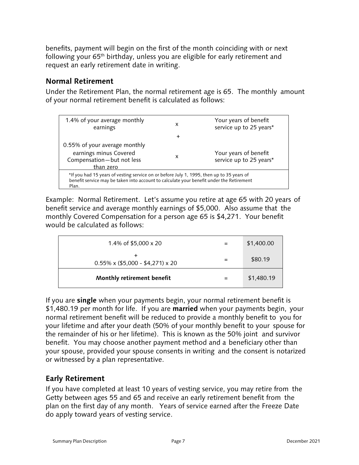benefits, payment will begin on the first of the month coinciding with or next following your 65th birthday, unless you are eligible for early retirement and request an early retirement date in writing.

#### **Normal Retirement**

Under the Retirement Plan, the normal retirement age is 65. The monthly amount of your normal retirement benefit is calculated as follows:

| 1.4% of your average monthly<br>earnings                                                          | x      | Your years of benefit<br>service up to 25 years* |
|---------------------------------------------------------------------------------------------------|--------|--------------------------------------------------|
|                                                                                                   | $\div$ |                                                  |
| 0.55% of your average monthly                                                                     |        |                                                  |
| earnings minus Covered                                                                            | x      | Your years of benefit                            |
| Compensation-but not less                                                                         |        | service up to 25 years*                          |
| than zero                                                                                         |        |                                                  |
| *If you had 15 years of vesting service on or before July 1, 1995, then up to 35 years of         |        |                                                  |
| benefit service may be taken into account to calculate your benefit under the Retirement<br>Plan. |        |                                                  |
|                                                                                                   |        |                                                  |

Example: Normal Retirement. Let's assume you retire at age 65 with 20 years of benefit service and average monthly earnings of \$5,000. Also assume that the monthly Covered Compensation for a person age 65 is \$4,271. Your benefit would be calculated as follows:

| Monthly retirement benefit                    | \$1,480.19 |
|-----------------------------------------------|------------|
| $0.55\% \times (\$5,000 - \$4,271) \times 20$ | \$80.19    |
| 1.4% of $$5,000 \times 20$                    | \$1,400.00 |

If you are **single** when your payments begin, your normal retirement benefit is \$1,480.19 per month for life. If you are **married** when your payments begin, your normal retirement benefit will be reduced to provide a monthly benefit to you for your lifetime and after your death (50% of your monthly benefit to your spouse for the remainder of his or her lifetime). This is known as the 50% joint and survivor benefit. You may choose another payment method and a beneficiary other than your spouse, provided your spouse consents in writing and the consent is notarized or witnessed by a plan representative.

## **Early Retirement**

If you have completed at least 10 years of vesting service, you may retire from the Getty between ages 55 and 65 and receive an early retirement benefit from the plan on the first day of any month. Years of service earned after the Freeze Date do apply toward years of vesting service.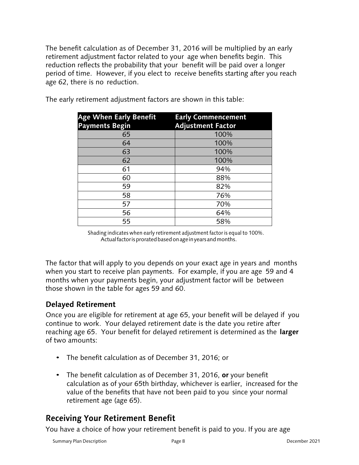The benefit calculation as of December 31, 2016 will be multiplied by an early retirement adjustment factor related to your age when benefits begin. This reduction reflects the probability that your benefit will be paid over a longer period of time. However, if you elect to receive benefits starting after you reach age 62, there is no reduction.

| <b>Age When Early Benefit</b><br><b>Payments Begin</b> | <b>Early Commencement</b><br><b>Adjustment Factor</b> |
|--------------------------------------------------------|-------------------------------------------------------|
| 65                                                     | 100%                                                  |
| 64                                                     | 100%                                                  |
| 63                                                     | 100%                                                  |
| 62                                                     | 100%                                                  |
| 61                                                     | 94%                                                   |
| 60                                                     | 88%                                                   |
| 59                                                     | 82%                                                   |
| 58                                                     | 76%                                                   |
| 57                                                     | 70%                                                   |
| 56                                                     | 64%                                                   |
| 55                                                     | 58%                                                   |

The early retirement adjustment factors are shown in this table:

 Shading indicates when early retirement adjustment factor is equal to 100%. Actual factor is prorated based on age in years and months.

The factor that will apply to you depends on your exact age in years and months when you start to receive plan payments. For example, if you are age 59 and 4 months when your payments begin, your adjustment factor will be between those shown in the table for ages 59 and 60.

#### **Delayed Retirement**

Once you are eligible for retirement at age 65, your benefit will be delayed if you continue to work. Your delayed retirement date is the date you retire after reaching age 65. Your benefit for delayed retirement is determined as the **larger**  of two amounts:

- The benefit calculation as of December 31, 2016; or
- The benefit calculation as of December 31, 2016, **or** your benefit calculation as of your 65th birthday, whichever is earlier, increased for the value of the benefits that have not been paid to you since your normal retirement age (age 65).

## **Receiving Your Retirement Benefit**

You have a choice of how your retirement benefit is paid to you. If you are age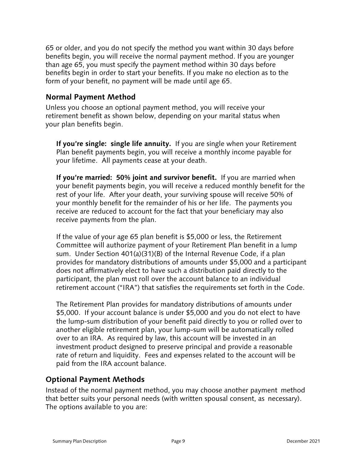65 or older, and you do not specify the method you want within 30 days before benefits begin, you will receive the normal payment method. If you are younger than age 65, you must specify the payment method within 30 days before benefits begin in order to start your benefits. If you make no election as to the form of your benefit, no payment will be made until age 65.

#### **Normal Payment Method**

Unless you choose an optional payment method, you will receive your retirement benefit as shown below, depending on your marital status when your plan benefits begin.

**If you're single: single life annuity.** If you are single when your Retirement Plan benefit payments begin, you will receive a monthly income payable for your lifetime. All payments cease at your death.

**If you're married: 50% joint and survivor benefit.** If you are married when your benefit payments begin, you will receive a reduced monthly benefit for the rest of your life. After your death, your surviving spouse will receive 50% of your monthly benefit for the remainder of his or her life. The payments you receive are reduced to account for the fact that your beneficiary may also receive payments from the plan.

If the value of your age 65 plan benefit is \$5,000 or less, the Retirement Committee will authorize payment of your Retirement Plan benefit in a lump sum. Under Section 401(a)(31)(B) of the Internal Revenue Code, if a plan provides for mandatory distributions of amounts under \$5,000 and a participant does not affirmatively elect to have such a distribution paid directly to the participant, the plan must roll over the account balance to an individual retirement account ("IRA") that satisfies the requirements set forth in the Code.

The Retirement Plan provides for mandatory distributions of amounts under \$5,000. If your account balance is under \$5,000 and you do not elect to have the lump-sum distribution of your benefit paid directly to you or rolled over to another eligible retirement plan, your lump-sum will be automatically rolled over to an IRA. As required by law, this account will be invested in an investment product designed to preserve principal and provide a reasonable rate of return and liquidity. Fees and expenses related to the account will be paid from the IRA account balance.

#### **Optional Payment Methods**

Instead of the normal payment method, you may choose another payment method that better suits your personal needs (with written spousal consent, as necessary). The options available to you are: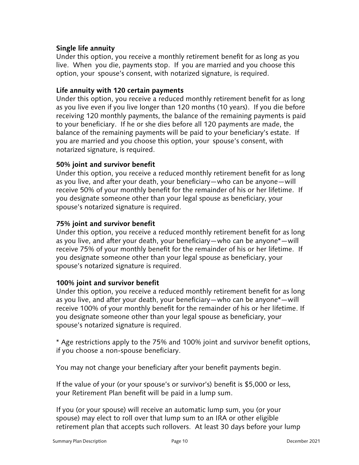#### **Single life annuity**

Under this option, you receive a monthly retirement benefit for as long as you live. When you die, payments stop. If you are married and you choose this option, your spouse's consent, with notarized signature, is required.

#### **Life annuity with 120 certain payments**

Under this option, you receive a reduced monthly retirement benefit for as long as you live even if you live longer than 120 months (10 years). If you die before receiving 120 monthly payments, the balance of the remaining payments is paid to your beneficiary. If he or she dies before all 120 payments are made, the balance of the remaining payments will be paid to your beneficiary's estate. If you are married and you choose this option, your spouse's consent, with notarized signature, is required.

#### **50% joint and survivor benefit**

Under this option, you receive a reduced monthly retirement benefit for as long as you live, and after your death, your beneficiary—who can be anyone—will receive 50% of your monthly benefit for the remainder of his or her lifetime. If you designate someone other than your legal spouse as beneficiary, your spouse's notarized signature is required.

#### **75% joint and survivor benefit**

Under this option, you receive a reduced monthly retirement benefit for as long as you live, and after your death, your beneficiary—who can be anyone\*—will receive 75% of your monthly benefit for the remainder of his or her lifetime. If you designate someone other than your legal spouse as beneficiary, your spouse's notarized signature is required.

#### **100% joint and survivor benefit**

Under this option, you receive a reduced monthly retirement benefit for as long as you live, and after your death, your beneficiary—who can be anyone\*—will receive 100% of your monthly benefit for the remainder of his or her lifetime. If you designate someone other than your legal spouse as beneficiary, your spouse's notarized signature is required.

\* Age restrictions apply to the 75% and 100% joint and survivor benefit options, if you choose a non-spouse beneficiary.

You may not change your beneficiary after your benefit payments begin.

If the value of your (or your spouse's or survivor's) benefit is \$5,000 or less, your Retirement Plan benefit will be paid in a lump sum.

If you (or your spouse) will receive an automatic lump sum, you (or your spouse) may elect to roll over that lump sum to an IRA or other eligible retirement plan that accepts such rollovers. At least 30 days before your lump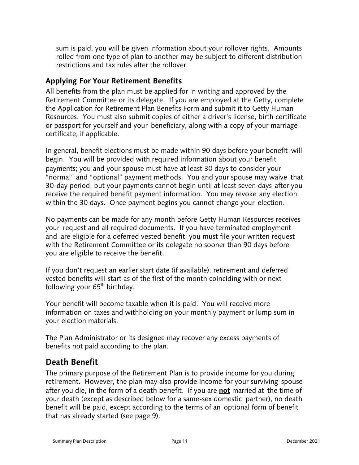sum is paid, you will be given information about your rollover rights. Amounts rolled from one type of plan to another may be subject to different distribution restrictions and tax rules after the rollover.

#### **Applying For Your Retirement Benefits**

All benefits from the plan must be applied for in writing and approved by the Retirement Committee or its delegate. If you are employed at the Getty, complete the Application for Retirement Plan Benefits Form and submit it to Getty Human Resources. You must also submit copies of either a driver's license, birth certificate or passport for yourself and your beneficiary, along with a copy of your marriage certificate, if applicable.

In general, benefit elections must be made within 90 days before your benefit will begin. You will be provided with required information about your benefit payments; you and your spouse must have at least 30 days to consider your "normal" and "optional" payment methods. You and your spouse may waive that 30-day period, but your payments cannot begin until at least seven days after you receive the required benefit payment information. You may revoke any election within the 30 days. Once payment begins you cannot change your election.

No payments can be made for any month before Getty Human Resources receives your request and all required documents. If you have terminated employment and are eligible for a deferred vested benefit, you must file your written request with the Retirement Committee or its delegate no sooner than 90 days before you are eligible to receive the benefit.

If you don't request an earlier start date (if available), retirement and deferred vested benefits will start as of the first of the month coinciding with or next following your  $65<sup>th</sup>$  birthday.

Your benefit will become taxable when it is paid. You will receive more information on taxes and withholding on your monthly payment or lump sum in your election materials.

The Plan Administrator or its designee may recover any excess payments of benefits not paid according to the plan.

## **Death Benefit**

The primary purpose of the Retirement Plan is to provide income for you during retirement. However, the plan may also provide income for your surviving spouse after you die, in the form of a death benefit. If you are **not** married at the time of your death (except as described below for a same-sex domestic partner), no death benefit will be paid, except according to the terms of an optional form of benefit that has already started (see page 9).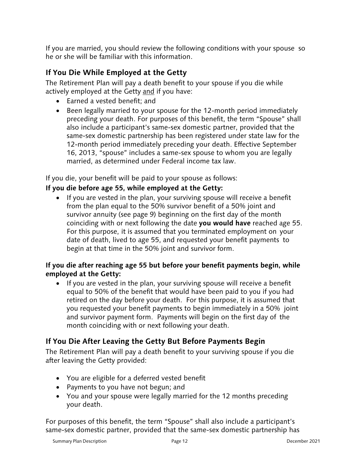If you are married, you should review the following conditions with your spouse so he or she will be familiar with this information.

#### **If You Die While Employed at the Getty**

The Retirement Plan will pay a death benefit to your spouse if you die while actively employed at the Getty and if you have:

- Earned a vested benefit: and
- Been legally married to your spouse for the 12-month period immediately preceding your death. For purposes of this benefit, the term "Spouse" shall also include a participant's same-sex domestic partner, provided that the same-sex domestic partnership has been registered under state law for the 12-month period immediately preceding your death. Effective September 16, 2013, "spouse" includes a same-sex spouse to whom you are legally married, as determined under Federal income tax law.

If you die, your benefit will be paid to your spouse as follows:

#### **If you die before age 55, while employed at the Getty:**

• If you are vested in the plan, your surviving spouse will receive a benefit from the plan equal to the 50% survivor benefit of a 50% joint and survivor annuity (see page 9) beginning on the first day of the month coinciding with or next following the date **you would have** reached age 55. For this purpose, it is assumed that you terminated employment on your date of death, lived to age 55, and requested your benefit payments to begin at that time in the 50% joint and survivor form.

#### **If you die after reaching age 55 but before your benefit payments begin, while employed at the Getty:**

• If you are vested in the plan, your surviving spouse will receive a benefit equal to 50% of the benefit that would have been paid to you if you had retired on the day before your death. For this purpose, it is assumed that you requested your benefit payments to begin immediately in a 50% joint and survivor payment form. Payments will begin on the first day of the month coinciding with or next following your death.

#### **If You Die After Leaving the Getty But Before Payments Begin**

The Retirement Plan will pay a death benefit to your surviving spouse if you die after leaving the Getty provided:

- You are eligible for a deferred vested benefit
- Payments to you have not begun; and
- You and your spouse were legally married for the 12 months preceding your death.

For purposes of this benefit, the term "Spouse" shall also include a participant's same-sex domestic partner, provided that the same-sex domestic partnership has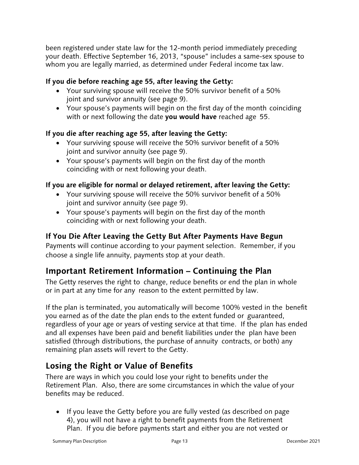been registered under state law for the 12-month period immediately preceding your death. Effective September 16, 2013, "spouse" includes a same-sex spouse to whom you are legally married, as determined under Federal income tax law.

#### **If you die before reaching age 55, after leaving the Getty:**

- Your surviving spouse will receive the 50% survivor benefit of a 50% joint and survivor annuity (see page 9).
- Your spouse's payments will begin on the first day of the month coinciding with or next following the date **you would have** reached age 55.

#### **If you die after reaching age 55, after leaving the Getty:**

- Your surviving spouse will receive the 50% survivor benefit of a 50% joint and survivor annuity (see page 9).
- Your spouse's payments will begin on the first day of the month coinciding with or next following your death.

#### **If you are eligible for normal or delayed retirement, after leaving the Getty:**

- Your surviving spouse will receive the 50% survivor benefit of a 50% joint and survivor annuity (see page 9).
- Your spouse's payments will begin on the first day of the month coinciding with or next following your death.

### **If You Die After Leaving the Getty But After Payments Have Begun**

Payments will continue according to your payment selection. Remember, if you choose a single life annuity, payments stop at your death.

## **Important Retirement Information – Continuing the Plan**

The Getty reserves the right to change, reduce benefits or end the plan in whole or in part at any time for any reason to the extent permitted by law.

If the plan is terminated, you automatically will become 100% vested in the benefit you earned as of the date the plan ends to the extent funded or guaranteed, regardless of your age or years of vesting service at that time. If the plan has ended and all expenses have been paid and benefit liabilities under the plan have been satisfied (through distributions, the purchase of annuity contracts, or both) any remaining plan assets will revert to the Getty.

## **Losing the Right or Value of Benefits**

There are ways in which you could lose your right to benefits under the Retirement Plan. Also, there are some circumstances in which the value of your benefits may be reduced.

• If you leave the Getty before you are fully vested (as described on page 4), you will not have a right to benefit payments from the Retirement Plan. If you die before payments start and either you are not vested or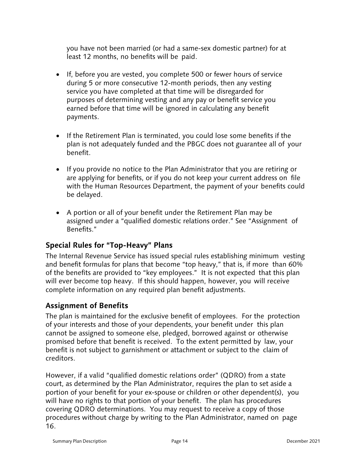you have not been married (or had a same-sex domestic partner) for at least 12 months, no benefits will be paid.

- If, before you are vested, you complete 500 or fewer hours of service during 5 or more consecutive 12-month periods, then any vesting service you have completed at that time will be disregarded for purposes of determining vesting and any pay or benefit service you earned before that time will be ignored in calculating any benefit payments.
- If the Retirement Plan is terminated, you could lose some benefits if the plan is not adequately funded and the PBGC does not guarantee all of your benefit.
- If you provide no notice to the Plan Administrator that you are retiring or are applying for benefits, or if you do not keep your current address on file with the Human Resources Department, the payment of your benefits could be delayed.
- A portion or all of your benefit under the Retirement Plan may be assigned under a "qualified domestic relations order." See "Assignment of Benefits."

#### **Special Rules for "Top-Heavy" Plans**

The Internal Revenue Service has issued special rules establishing minimum vesting and benefit formulas for plans that become "top heavy," that is, if more than 60% of the benefits are provided to "key employees." It is not expected that this plan will ever become top heavy. If this should happen, however, you will receive complete information on any required plan benefit adjustments.

#### **Assignment of Benefits**

The plan is maintained for the exclusive benefit of employees. For the protection of your interests and those of your dependents, your benefit under this plan cannot be assigned to someone else, pledged, borrowed against or otherwise promised before that benefit is received. To the extent permitted by law, your benefit is not subject to garnishment or attachment or subject to the claim of creditors.

However, if a valid "qualified domestic relations order" (QDRO) from a state court, as determined by the Plan Administrator, requires the plan to set aside a portion of your benefit for your ex-spouse or children or other dependent(s), you will have no rights to that portion of your benefit. The plan has procedures covering QDRO determinations. You may request to receive a copy of those procedures without charge by writing to the Plan Administrator, named on page 16.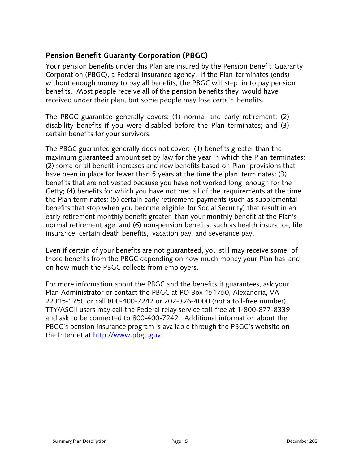### **Pension Benefit Guaranty Corporation (PBGC)**

Your pension benefits under this Plan are insured by the Pension Benefit Guaranty Corporation (PBGC), a Federal insurance agency. If the Plan terminates (ends) without enough money to pay all benefits, the PBGC will step in to pay pension benefits. Most people receive all of the pension benefits they would have received under their plan, but some people may lose certain benefits.

The PBGC guarantee generally covers: (1) normal and early retirement; (2) disability benefits if you were disabled before the Plan terminates; and (3) certain benefits for your survivors.

The PBGC guarantee generally does not cover: (1) benefits greater than the maximum guaranteed amount set by law for the year in which the Plan terminates; (2) some or all benefit increases and new benefits based on Plan provisions that have been in place for fewer than 5 years at the time the plan terminates; (3) benefits that are not vested because you have not worked long enough for the Getty; (4) benefits for which you have not met all of the requirements at the time the Plan terminates; (5) certain early retirement payments (such as supplemental benefits that stop when you become eligible for Social Security) that result in an early retirement monthly benefit greater than your monthly benefit at the Plan's normal retirement age; and (6) non-pension benefits, such as health insurance, life insurance, certain death benefits, vacation pay, and severance pay.

Even if certain of your benefits are not guaranteed, you still may receive some of those benefits from the PBGC depending on how much money your Plan has and on how much the PBGC collects from employers.

For more information about the PBGC and the benefits it guarantees, ask your Plan Administrator or contact the PBGC at PO Box 151750, Alexandria, VA 22315-1750 or call 800-400-7242 or 202-326-4000 (not a toll-free number). TTY/ASCII users may call the Federal relay service toll-free at 1-800-877-8339 and ask to be connected to 800-400-7242. Additional information about the PBGC's pension insurance program is available through the PBGC's website on the Internet at http://www.pbgc.gov.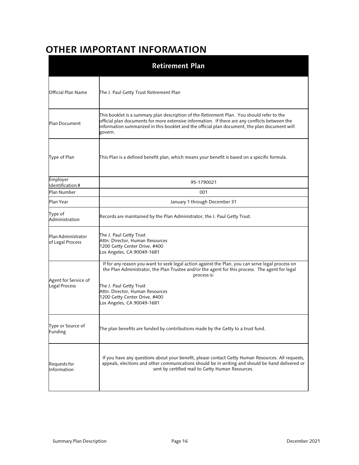## **OTHER IMPORTANT INFORMATION**

|                                        | <b>Retirement Plan</b>                                                                                                                                                                                                                                                                                                                          |
|----------------------------------------|-------------------------------------------------------------------------------------------------------------------------------------------------------------------------------------------------------------------------------------------------------------------------------------------------------------------------------------------------|
| Official Plan Name                     | The J. Paul Getty Trust Retirement Plan                                                                                                                                                                                                                                                                                                         |
| Plan Document                          | This booklet is a summary plan description of the Retirement Plan. You should refer to the<br>official plan documents for more extensive information. If there are any conflicts between the<br>information summarized in this booklet and the official plan document, the plan document will<br>govern.                                        |
| Type of Plan                           | This Plan is a defined benefit plan, which means your benefit is based on a specific formula.                                                                                                                                                                                                                                                   |
| Employer<br>Identification #           | 95-1790021                                                                                                                                                                                                                                                                                                                                      |
| Plan Number                            | 001                                                                                                                                                                                                                                                                                                                                             |
| Plan Year                              | January 1 through December 31                                                                                                                                                                                                                                                                                                                   |
| Type of<br>Administration              | Records are maintained by the Plan Administrator, the J. Paul Getty Trust.                                                                                                                                                                                                                                                                      |
| Plan Administrator<br>of Legal Process | The J. Paul Getty Trust<br>Attn: Director, Human Resources<br>1200 Getty Center Drive, #400<br>Los Angeles, CA 90049-1681                                                                                                                                                                                                                       |
| Agent for Service of<br>Legal Process  | If for any reason you want to seek legal action against the Plan, you can serve legal process on<br>the Plan Administrator, the Plan Trustee and/or the agent for this process. The agent for legal<br>process is:<br>The J. Paul Getty Trust<br>Attn: Director, Human Resources<br>1200 Getty Center Drive, #400<br>Los Angeles, CA 90049-1681 |
| Type or Source of<br>Funding           | The plan benefits are funded by contributions made by the Getty to a trust fund.                                                                                                                                                                                                                                                                |
| Requests for<br>Information            | If you have any questions about your benefit, please contact Getty Human Resources. All requests,<br>appeals, elections and other communications should be in writing and should be hand delivered or<br>sent by certified mail to Getty Human Resources.                                                                                       |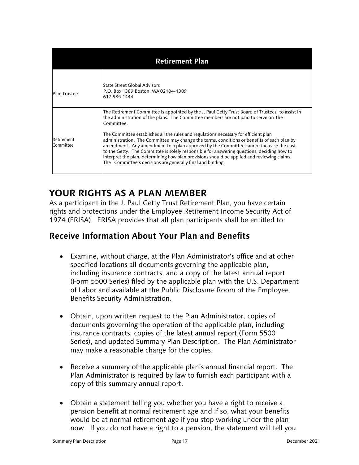|                         | <b>Retirement Plan</b>                                                                                                                                                                                                                                                                                                                                                                                                                                                                                                                                                                                                                                                                                                                          |
|-------------------------|-------------------------------------------------------------------------------------------------------------------------------------------------------------------------------------------------------------------------------------------------------------------------------------------------------------------------------------------------------------------------------------------------------------------------------------------------------------------------------------------------------------------------------------------------------------------------------------------------------------------------------------------------------------------------------------------------------------------------------------------------|
| <b>Plan Trustee</b>     | State Street Global Advisors<br>P.O. Box 1389 Boston, MA 02104-1389<br>617.985.1444                                                                                                                                                                                                                                                                                                                                                                                                                                                                                                                                                                                                                                                             |
| Retirement<br>Committee | The Retirement Committee is appointed by the J. Paul Getty Trust Board of Trustees   to assist in<br>the administration of the plans. The Committee members are not paid to serve on the<br>Committee<br>The Committee establishes all the rules and regulations necessary for efficient plan<br>administration. The Committee may change the terms, conditions or benefits of each plan by<br>amendment. Any amendment to a plan approved by the Committee cannot increase the cost<br>to the Getty. The Committee is solely responsible for answering questions, deciding how to<br>interpret the plan, determining how plan provisions should be applied and reviewing claims.<br>The Committee's decisions are generally final and binding. |

## **YOUR RIGHTS AS A PLAN MEMBER**

As a participant in the J. Paul Getty Trust Retirement Plan, you have certain rights and protections under the Employee Retirement Income Security Act of 1974 (ERISA). ERISA provides that all plan participants shall be entitled to:

## **Receive Information About Your Plan and Benefits**

- Examine, without charge, at the Plan Administrator's office and at other specified locations all documents governing the applicable plan, including insurance contracts, and a copy of the latest annual report (Form 5500 Series) filed by the applicable plan with the U.S. Department of Labor and available at the Public Disclosure Room of the Employee Benefits Security Administration.
- Obtain, upon written request to the Plan Administrator, copies of documents governing the operation of the applicable plan, including insurance contracts, copies of the latest annual report (Form 5500 Series), and updated Summary Plan Description. The Plan Administrator may make a reasonable charge for the copies.
- Receive a summary of the applicable plan's annual financial report. The Plan Administrator is required by law to furnish each participant with a copy of this summary annual report.
- Obtain a statement telling you whether you have a right to receive a pension benefit at normal retirement age and if so, what your benefits would be at normal retirement age if you stop working under the plan now. If you do not have a right to a pension, the statement will tell you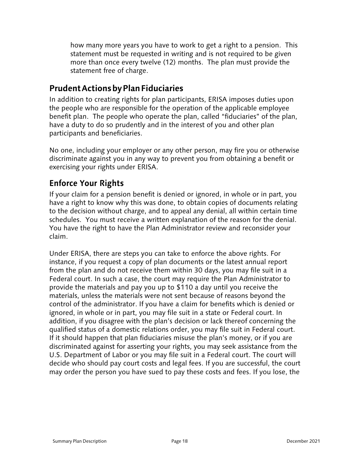how many more years you have to work to get a right to a pension. This statement must be requested in writing and is not required to be given more than once every twelve (12) months. The plan must provide the statement free of charge.

## **Prudent Actions by Plan Fiduciaries**

In addition to creating rights for plan participants, ERISA imposes duties upon the people who are responsible for the operation of the applicable employee benefit plan. The people who operate the plan, called "fiduciaries" of the plan, have a duty to do so prudently and in the interest of you and other plan participants and beneficiaries.

No one, including your employer or any other person, may fire you or otherwise discriminate against you in any way to prevent you from obtaining a benefit or exercising your rights under ERISA.

## **Enforce Your Rights**

If your claim for a pension benefit is denied or ignored, in whole or in part, you have a right to know why this was done, to obtain copies of documents relating to the decision without charge, and to appeal any denial, all within certain time schedules. You must receive a written explanation of the reason for the denial. You have the right to have the Plan Administrator review and reconsider your claim.

Under ERISA, there are steps you can take to enforce the above rights. For instance, if you request a copy of plan documents or the latest annual report from the plan and do not receive them within 30 days, you may file suit in a Federal court. In such a case, the court may require the Plan Administrator to provide the materials and pay you up to \$110 a day until you receive the materials, unless the materials were not sent because of reasons beyond the control of the administrator. If you have a claim for benefits which is denied or ignored, in whole or in part, you may file suit in a state or Federal court. In addition, if you disagree with the plan's decision or lack thereof concerning the qualified status of a domestic relations order, you may file suit in Federal court. If it should happen that plan fiduciaries misuse the plan's money, or if you are discriminated against for asserting your rights, you may seek assistance from the U.S. Department of Labor or you may file suit in a Federal court. The court will decide who should pay court costs and legal fees. If you are successful, the court may order the person you have sued to pay these costs and fees. If you lose, the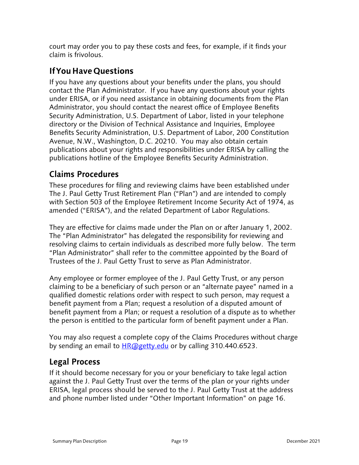court may order you to pay these costs and fees, for example, if it finds your claim is frivolous.

## **If You Have Questions**

If you have any questions about your benefits under the plans, you should contact the Plan Administrator. If you have any questions about your rights under ERISA, or if you need assistance in obtaining documents from the Plan Administrator, you should contact the nearest office of Employee Benefits Security Administration, U.S. Department of Labor, listed in your telephone directory or the Division of Technical Assistance and Inquiries, Employee Benefits Security Administration, U.S. Department of Labor, 200 Constitution Avenue, N.W., Washington, D.C. 20210. You may also obtain certain publications about your rights and responsibilities under ERISA by calling the publications hotline of the Employee Benefits Security Administration.

## **Claims Procedures**

These procedures for filing and reviewing claims have been established under The J. Paul Getty Trust Retirement Plan ("Plan") and are intended to comply with Section 503 of the Employee Retirement Income Security Act of 1974, as amended ("ERISA"), and the related Department of Labor Regulations.

They are effective for claims made under the Plan on or after January 1, 2002. The "Plan Administrator" has delegated the responsibility for reviewing and resolving claims to certain individuals as described more fully below. The term "Plan Administrator" shall refer to the committee appointed by the Board of Trustees of the J. Paul Getty Trust to serve as Plan Administrator.

Any employee or former employee of the J. Paul Getty Trust, or any person claiming to be a beneficiary of such person or an "alternate payee" named in a qualified domestic relations order with respect to such person, may request a benefit payment from a Plan; request a resolution of a disputed amount of benefit payment from a Plan; or request a resolution of a dispute as to whether the person is entitled to the particular form of benefit payment under a Plan.

You may also request a complete copy of the Claims Procedures without charge by sending an email to **HR**@getty.edu or by calling 310.440.6523.

## **Legal Process**

If it should become necessary for you or your beneficiary to take legal action against the J. Paul Getty Trust over the terms of the plan or your rights under ERISA, legal process should be served to the J. Paul Getty Trust at the address and phone number listed under "Other Important Information" on page 16.